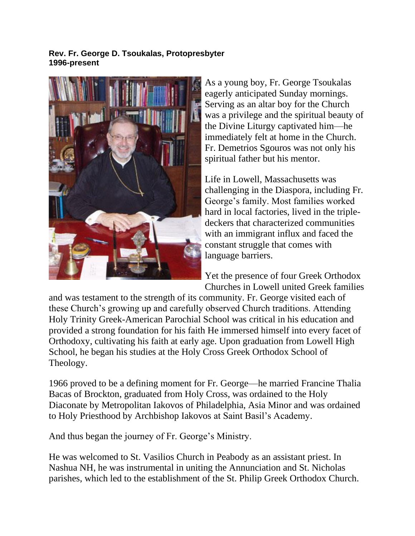## **Rev. Fr. George D. Tsoukalas, Protopresbyter 1996-present**



As a young boy, Fr. George Tsoukalas eagerly anticipated Sunday mornings. Serving as an altar boy for the Church was a privilege and the spiritual beauty of the Divine Liturgy captivated him—he immediately felt at home in the Church. Fr. Demetrios Sgouros was not only his spiritual father but his mentor.

Life in Lowell, Massachusetts was challenging in the Diaspora, including Fr. George's family. Most families worked hard in local factories, lived in the tripledeckers that characterized communities with an immigrant influx and faced the constant struggle that comes with language barriers.

Yet the presence of four Greek Orthodox Churches in Lowell united Greek families

and was testament to the strength of its community. Fr. George visited each of these Church's growing up and carefully observed Church traditions. Attending Holy Trinity Greek-American Parochial School was critical in his education and provided a strong foundation for his faith He immersed himself into every facet of Orthodoxy, cultivating his faith at early age. Upon graduation from Lowell High School, he began his studies at the Holy Cross Greek Orthodox School of Theology.

1966 proved to be a defining moment for Fr. George—he married Francine Thalia Bacas of Brockton, graduated from Holy Cross, was ordained to the Holy Diaconate by Metropolitan Iakovos of Philadelphia, Asia Minor and was ordained to Holy Priesthood by Archbishop Iakovos at Saint Basil's Academy.

And thus began the journey of Fr. George's Ministry.

He was welcomed to St. Vasilios Church in Peabody as an assistant priest. In Nashua NH, he was instrumental in uniting the Annunciation and St. Nicholas parishes, which led to the establishment of the St. Philip Greek Orthodox Church.